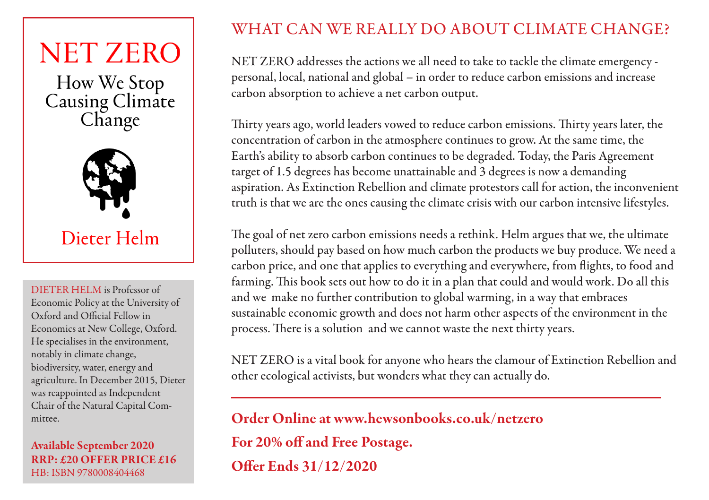### **NET ZERO**

How We Stop Causing Climate<br>Change



#### Dieter Helm

DIETER HELM is Professor of Economic Policy at the University of Oxford and Official Fellow in Economics at New College, Oxford. He specialises in the environment, notably in climate change, biodiversity, water, energy and agriculture. In December 2015, Dieter was reappointed as Independent Chair of the Natural Capital Committee.

#### Available September 2020 RRP: £20 OFFER PRICE £16 HB: ISBN 9780008404468

#### WHAT CAN WE REALLY DO ABOUT CLIMATE CHANGE?

NET ZERO addresses the actions we all need to take to tackle the climate emergency personal, local, national and global – in order to reduce carbon emissions and increase carbon absorption to achieve a net carbon output.

Thirty years ago, world leaders vowed to reduce carbon emissions. Thirty years later, the concentration of carbon in the atmosphere continues to grow. At the same time, the Earth's ability to absorb carbon continues to be degraded. Today, the Paris Agreement target of 1.5 degrees has become unattainable and 3 degrees is now a demanding aspiration. As Extinction Rebellion and climate protestors call for action, the inconvenient truth is that we are the ones causing the climate crisis with our carbon intensive lifestyles.

The goal of net zero carbon emissions needs a rethink. Helm argues that we, the ultimate polluters, should pay based on how much carbon the products we buy produce. We need a carbon price, and one that applies to everything and everywhere, from flights, to food and farming. This book sets out how to do it in a plan that could and would work. Do all this and we make no further contribution to global warming, in a way that embraces sustainable economic growth and does not harm other aspects of the environment in the process. There is a solution and we cannot waste the next thirty years.

NET ZERO is a vital book for anyone who hears the clamour of Extinction Rebellion and other ecological activists, but wonders what they can actually do.

Order Online at www.hewsonbooks.co.uk/netzero

For 20% off and Free Postage.

Offer Ends 31/12/2020